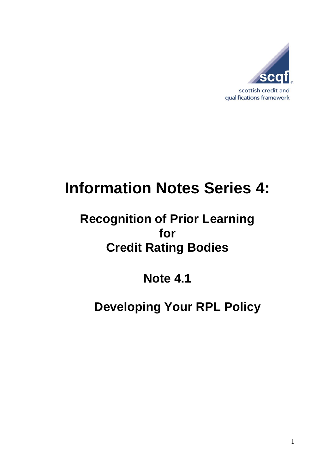

# **Information Notes Series 4:**

# **Recognition of Prior Learning for Credit Rating Bodies**

**Note 4.1**

# **Developing Your RPL Policy**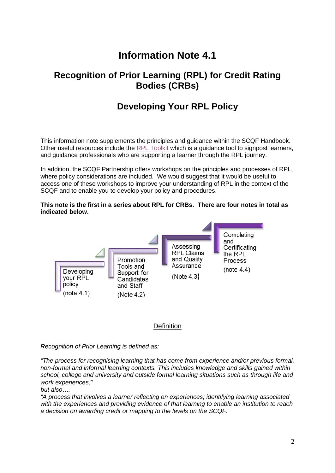## **Information Note 4.1**

### **Recognition of Prior Learning (RPL) for Credit Rating Bodies (CRBs)**

### **Developing Your RPL Policy**

This information note supplements the principles and guidance within the SCQF Handbook. Other useful resources include the RPL [Toolkit](https://scqf.org.uk/guide-to-rpl/rpl-tool/) which is a guidance tool to signpost learners, and guidance professionals who are supporting a learner through the RPL journey.

In addition, the SCQF Partnership offers workshops on the principles and processes of RPL, where policy considerations are included. We would suggest that it would be useful to access one of these workshops to improve your understanding of RPL in the context of the SCQF and to enable you to develop your policy and procedures.

#### **This note is the first in a series about RPL for CRBs. There are four notes in total as indicated below.**



#### **Definition**

*Recognition of Prior Learning is defined as:*

*"The process for recognising learning that has come from experience and/or previous formal, non-formal and informal learning contexts. This includes knowledge and skills gained within school, college and university and outside formal learning situations such as through life and work experiences*."

*but also….*

*"A process that involves a learner reflecting on experiences; identifying learning associated with the experiences and providing evidence of that learning to enable an institution to reach a decision on awarding credit or mapping to the levels on the SCQF."*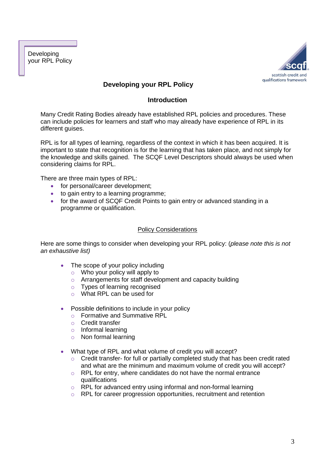Developing your RPL Policy



#### **Developing your RPL Policy**

#### **Introduction**

Many Credit Rating Bodies already have established RPL policies and procedures. These can include policies for learners and staff who may already have experience of RPL in its different guises.

RPL is for all types of learning, regardless of the context in which it has been acquired. It is important to state that recognition is for the learning that has taken place, and not simply for the knowledge and skills gained. The SCQF Level Descriptors should always be used when considering claims for RPL.

There are three main types of RPL:

- for personal/career development;
- to gain entry to a learning programme;
- for the award of SCQF Credit Points to gain entry or advanced standing in a programme or qualification.

#### Policy Considerations

Here are some things to consider when developing your RPL policy: (*please note this is not an exhaustive list)*

- The scope of your policy including
	- $\circ$  Who your policy will apply to
	- o Arrangements for staff development and capacity building
	- o Types of learning recognised
	- o What RPL can be used for
- Possible definitions to include in your policy
	- o Formative and Summative RPL
	- o Credit transfer
	- o Informal learning
	- o Non formal learning
- What type of RPL and what volume of credit you will accept?
	- o Credit transfer- for full or partially completed study that has been credit rated and what are the minimum and maximum volume of credit you will accept?
	- o RPL for entry, where candidates do not have the normal entrance qualifications
	- o RPL for advanced entry using informal and non-formal learning
	- o RPL for career progression opportunities, recruitment and retention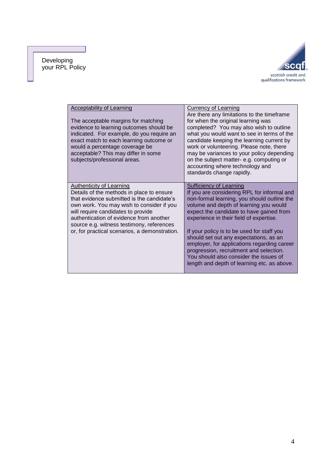#### Developing your RPL Policy



| Acceptability of Learning<br>The acceptable margins for matching<br>evidence to learning outcomes should be<br>indicated. For example, do you require an<br>exact match to each learning outcome or<br>would a percentage coverage be<br>acceptable? This may differ in some<br>subjects/professional areas.                                    | <b>Currency of Learning</b><br>Are there any limitations to the timeframe<br>for when the original learning was<br>completed? You may also wish to outline<br>what you would want to see in terms of the<br>candidate keeping the learning current by<br>work or volunteering. Please note, there<br>may be variances to your policy depending<br>on the subject matter- e.g. computing or<br>accounting where technology and<br>standards change rapidly.                                                                        |
|-------------------------------------------------------------------------------------------------------------------------------------------------------------------------------------------------------------------------------------------------------------------------------------------------------------------------------------------------|-----------------------------------------------------------------------------------------------------------------------------------------------------------------------------------------------------------------------------------------------------------------------------------------------------------------------------------------------------------------------------------------------------------------------------------------------------------------------------------------------------------------------------------|
| Authenticity of Learning<br>Details of the methods in place to ensure<br>that evidence submitted is the candidate's<br>own work. You may wish to consider if you<br>will require candidates to provide<br>authentication of evidence from another<br>source e.g. witness testimony, references<br>or, for practical scenarios, a demonstration. | Sufficiency of Learning<br>If you are considering RPL for informal and<br>non-formal learning, you should outline the<br>volume and depth of learning you would<br>expect the candidate to have gained from<br>experience in their field of expertise.<br>If your policy is to be used for staff you<br>should set out any expectations, as an<br>employer, for applications regarding career<br>progression, recruitment and selection.<br>You should also consider the issues of<br>length and depth of learning etc. as above. |